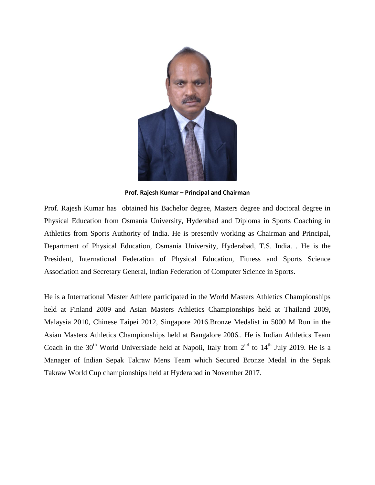

**Prof. Rajesh Kumar – Principal and Chairman**

Prof. Rajesh Kumar has obtained his Bachelor degree, Masters degree and doctoral degree in Physical Education from Osmania University, Hyderabad and Diploma in Sports Coaching in Athletics from Sports Authority of India. He is presently working as Chairman and Principal, Department of Physical Education, Osmania University, Hyderabad, T.S. India. . He is the President, International Federation of Physical Education, Fitness and Sports Science Association and Secretary General, Indian Federation of Computer Science in Sports.

He is a International Master Athlete participated in the World Masters Athletics Championships held at Finland 2009 and Asian Masters Athletics Championships held at Thailand 2009, Malaysia 2010, Chinese Taipei 2012, Singapore 2016.Bronze Medalist in 5000 M Run in the Asian Masters Athletics Championships held at Bangalore 2006.. He is Indian Athletics Team Coach in the 30<sup>th</sup> World Universiade held at Napoli, Italy from  $2^{nd}$  to  $14^{th}$  July 2019. He is a Manager of Indian Sepak Takraw Mens Team which Secured Bronze Medal in the Sepak Takraw World Cup championships held at Hyderabad in November 2017.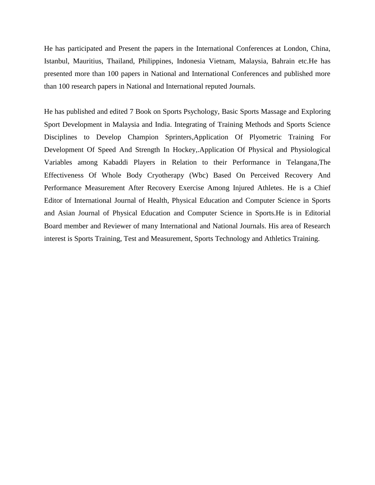He has participated and Present the papers in the International Conferences at London, China, Istanbul, Mauritius, Thailand, Philippines, Indonesia Vietnam, Malaysia, Bahrain etc.He has presented more than 100 papers in National and International Conferences and published more than 100 research papers in National and International reputed Journals.

He has published and edited 7 Book on Sports Psychology, Basic Sports Massage and Exploring Sport Development in Malaysia and India. Integrating of Training Methods and Sports Science Disciplines to Develop Champion Sprinters,Application Of Plyometric Training For Development Of Speed And Strength In Hockey,.Application Of Physical and Physiological Variables among Kabaddi Players in Relation to their Performance in Telangana,The Effectiveness Of Whole Body Cryotherapy (Wbc) Based On Perceived Recovery And Performance Measurement After Recovery Exercise Among Injured Athletes. He is a Chief Editor of International Journal of Health, Physical Education and Computer Science in Sports and Asian Journal of Physical Education and Computer Science in Sports.He is in Editorial Board member and Reviewer of many International and National Journals. His area of Research interest is Sports Training, Test and Measurement, Sports Technology and Athletics Training.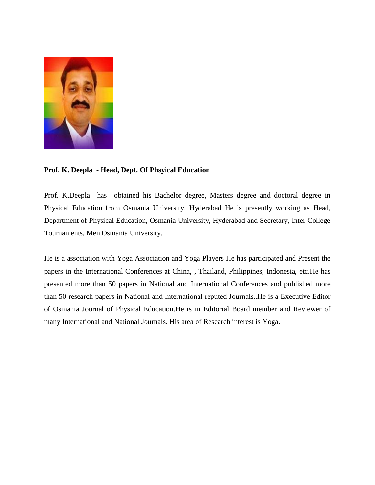

## **Prof. K. Deepla - Head, Dept. Of Phsyical Education**

Prof. K.Deepla has obtained his Bachelor degree, Masters degree and doctoral degree in Physical Education from Osmania University, Hyderabad He is presently working as Head, Department of Physical Education, Osmania University, Hyderabad and Secretary, Inter College Tournaments, Men Osmania University.

He is a association with Yoga Association and Yoga Players He has participated and Present the papers in the International Conferences at China, , Thailand, Philippines, Indonesia, etc.He has presented more than 50 papers in National and International Conferences and published more than 50 research papers in National and International reputed Journals..He is a Executive Editor of Osmania Journal of Physical Education.He is in Editorial Board member and Reviewer of many International and National Journals. His area of Research interest is Yoga.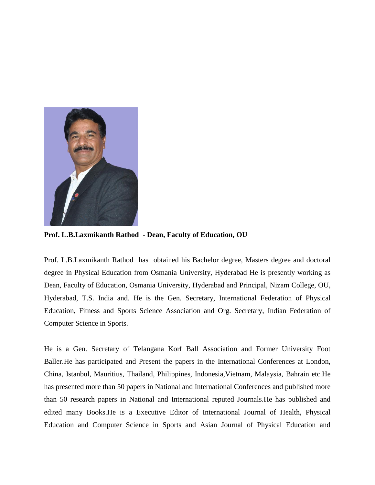

**Prof. L.B.Laxmikanth Rathod - Dean, Faculty of Education, OU**

Prof. L.B.Laxmikanth Rathod has obtained his Bachelor degree, Masters degree and doctoral degree in Physical Education from Osmania University, Hyderabad He is presently working as Dean, Faculty of Education, Osmania University, Hyderabad and Principal, Nizam College, OU, Hyderabad, T.S. India and. He is the Gen. Secretary, International Federation of Physical Education, Fitness and Sports Science Association and Org. Secretary, Indian Federation of Computer Science in Sports.

He is a Gen. Secretary of Telangana Korf Ball Association and Former University Foot Baller.He has participated and Present the papers in the International Conferences at London, China, Istanbul, Mauritius, Thailand, Philippines, Indonesia,Vietnam, Malaysia, Bahrain etc.He has presented more than 50 papers in National and International Conferences and published more than 50 research papers in National and International reputed Journals.He has published and edited many Books.He is a Executive Editor of International Journal of Health, Physical Education and Computer Science in Sports and Asian Journal of Physical Education and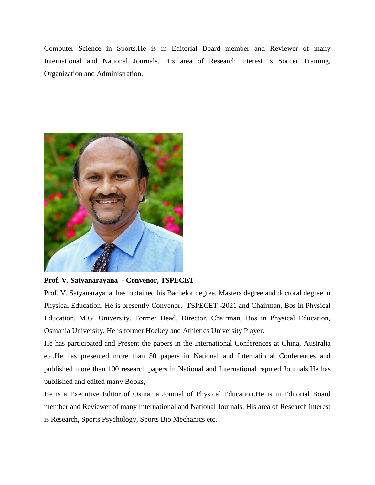Computer Science in Sports.He is in Editorial Board member and Reviewer of many International and National Journals. His area of Research interest is Soccer Training, Organization and Administration.



## **Prof. V. Satyanarayana - Convenor, TSPECET**

Prof. V. Satyanarayana has obtained his Bachelor degree, Masters degree and doctoral degree in Physical Education. He is presently Convenor, TSPECET -2021 and Chairman, Bos in Physical Education, M.G. University. Former Head, Director, Chairman, Bos in Physical Education, Osmania University. He is former Hockey and Athletics University Player.

He has participated and Present the papers in the International Conferences at China, Australia etc.He has presented more than 50 papers in National and International Conferences and published more than 100 research papers in National and International reputed Journals.He has published and edited many Books,

He is a Executive Editor of Osmania Journal of Physical Education.He is in Editorial Board member and Reviewer of many International and National Journals. His area of Research interest is Research, Sports Psychology, Sports Bio Mechanics etc.